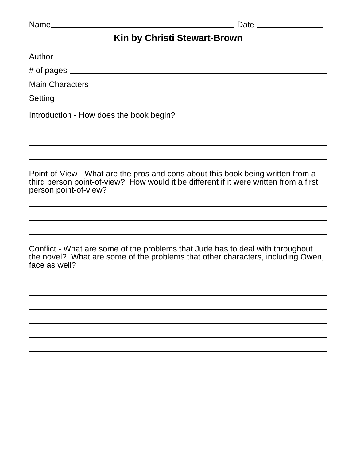## **Kin by Christi Stewart-Brown**

| Introduction - How does the book begin?                                                                                                                                                           |
|---------------------------------------------------------------------------------------------------------------------------------------------------------------------------------------------------|
|                                                                                                                                                                                                   |
| Point-of-View - What are the pros and cons about this book being written from a<br>third person point-of-view? How would it be different if it were written from a first<br>person point-of-view? |
|                                                                                                                                                                                                   |
| Conflict - What are some of the problems that Jude has to deal with throughout<br>the novel? What are some of the problems that other characters, including Owen,<br>face as well?                |
|                                                                                                                                                                                                   |
|                                                                                                                                                                                                   |
|                                                                                                                                                                                                   |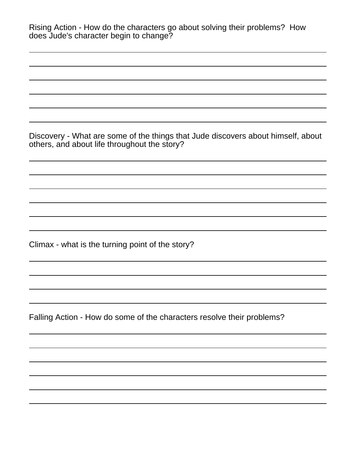| Rising Action - How do the characters go about solving their problems? How<br>does Jude's character begin to change?             |
|----------------------------------------------------------------------------------------------------------------------------------|
|                                                                                                                                  |
|                                                                                                                                  |
| Discovery - What are some of the things that Jude discovers about himself, about<br>others, and about life throughout the story? |
|                                                                                                                                  |
|                                                                                                                                  |
| Climax - what is the turning point of the story?                                                                                 |
|                                                                                                                                  |
| Falling Action - How do some of the characters resolve their problems?                                                           |
|                                                                                                                                  |
|                                                                                                                                  |